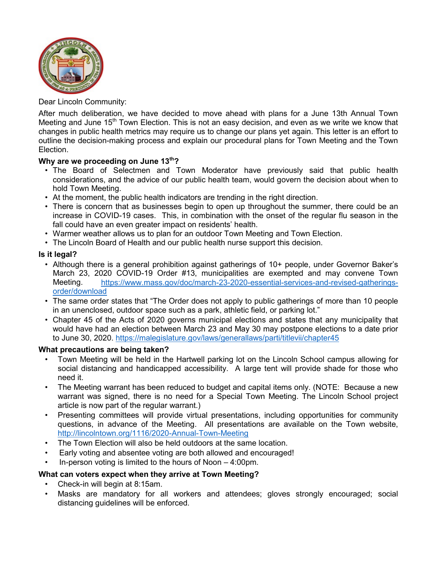

Dear Lincoln Community:

After much deliberation, we have decided to move ahead with plans for a June 13th Annual Town Meeting and June 15<sup>th</sup> Town Election. This is not an easy decision, and even as we write we know that changes in public health metrics may require us to change our plans yet again. This letter is an effort to outline the decision-making process and explain our procedural plans for Town Meeting and the Town Election.

# Why are we proceeding on June 13<sup>th</sup>?

- The Board of Selectmen and Town Moderator have previously said that public health considerations, and the advice of our public health team, would govern the decision about when to hold Town Meeting.
- At the moment, the public health indicators are trending in the right direction.
- There is concern that as businesses begin to open up throughout the summer, there could be an increase in COVID-19 cases. This, in combination with the onset of the regular flu season in the fall could have an even greater impact on residents' health.
- Warmer weather allows us to plan for an outdoor Town Meeting and Town Election.
- The Lincoln Board of Health and our public health nurse support this decision.

### **Is it legal?**

- Although there is a general prohibition against gatherings of 10+ people, under Governor Baker's March 23, 2020 COVID-19 Order #13, municipalities are exempted and may convene Town Meeting. [https://www.mass.gov/doc/march-23-2020-essential-services-and-revised-gatherings](https://www.mass.gov/doc/march-23-2020-essential-services-and-revised-gatherings-order/download)[order/download](https://www.mass.gov/doc/march-23-2020-essential-services-and-revised-gatherings-order/download)
- The same order states that "The Order does not apply to public gatherings of more than 10 people in an unenclosed, outdoor space such as a park, athletic field, or parking lot."
- Chapter 45 of the Acts of 2020 governs municipal elections and states that any municipality that would have had an election between March 23 and May 30 may postpone elections to a date prior to June 30, 2020.<https://malegislature.gov/laws/generallaws/parti/titlevii/chapter45>

#### **What precautions are being taken?**

- Town Meeting will be held in the Hartwell parking lot on the Lincoln School campus allowing for social distancing and handicapped accessibility. A large tent will provide shade for those who need it.
- The Meeting warrant has been reduced to budget and capital items only. (NOTE: Because a new warrant was signed, there is no need for a Special Town Meeting. The Lincoln School project article is now part of the regular warrant.)
- Presenting committees will provide virtual presentations, including opportunities for community questions, in advance of the Meeting. All presentations are available on the Town website, [http://lincolntown.org/1116/2020-Annual-Town-Meeting](http://lincolntown.org/1116/2020-Annual-Town-Meeting-and-Special-Tow)
- The Town Election will also be held outdoors at the same location.
- Early voting and absentee voting are both allowed and encouraged!
- In-person voting is limited to the hours of Noon  $-4:00$ pm.

# **What can voters expect when they arrive at Town Meeting?**

- Check-in will begin at 8:15am.
- Masks are mandatory for all workers and attendees; gloves strongly encouraged; social distancing guidelines will be enforced.